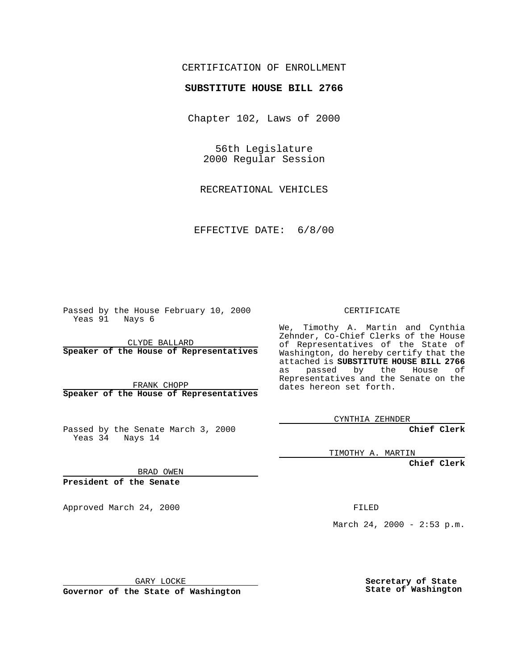## CERTIFICATION OF ENROLLMENT

## **SUBSTITUTE HOUSE BILL 2766**

Chapter 102, Laws of 2000

56th Legislature 2000 Regular Session

RECREATIONAL VEHICLES

EFFECTIVE DATE: 6/8/00

Passed by the House February 10, 2000 Yeas 91 Nays 6

CLYDE BALLARD **Speaker of the House of Representatives**

FRANK CHOPP **Speaker of the House of Representatives**

Passed by the Senate March 3, 2000 Yeas 34 Nays 14

CERTIFICATE

We, Timothy A. Martin and Cynthia Zehnder, Co-Chief Clerks of the House of Representatives of the State of Washington, do hereby certify that the attached is **SUBSTITUTE HOUSE BILL 2766** as passed by the House of Representatives and the Senate on the dates hereon set forth.

CYNTHIA ZEHNDER

**Chief Clerk**

TIMOTHY A. MARTIN

**Chief Clerk**

BRAD OWEN

**President of the Senate**

Approved March 24, 2000 FILED

March 24, 2000 - 2:53 p.m.

GARY LOCKE

**Governor of the State of Washington**

**Secretary of State State of Washington**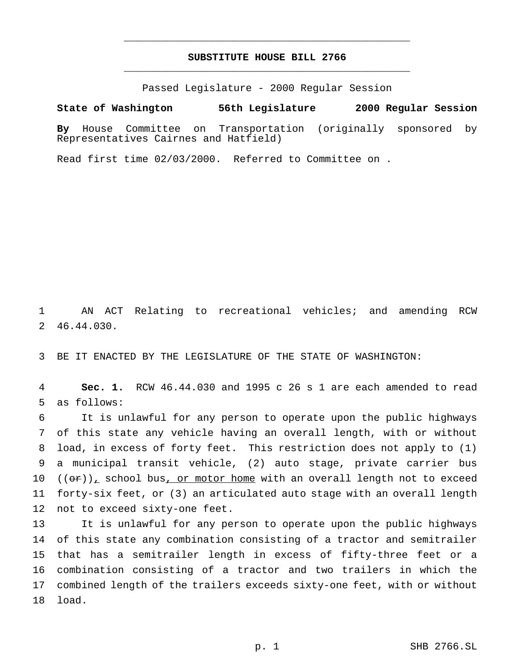## **SUBSTITUTE HOUSE BILL 2766** \_\_\_\_\_\_\_\_\_\_\_\_\_\_\_\_\_\_\_\_\_\_\_\_\_\_\_\_\_\_\_\_\_\_\_\_\_\_\_\_\_\_\_\_\_\_\_

\_\_\_\_\_\_\_\_\_\_\_\_\_\_\_\_\_\_\_\_\_\_\_\_\_\_\_\_\_\_\_\_\_\_\_\_\_\_\_\_\_\_\_\_\_\_\_

Passed Legislature - 2000 Regular Session

## **State of Washington 56th Legislature 2000 Regular Session**

**By** House Committee on Transportation (originally sponsored by Representatives Cairnes and Hatfield)

Read first time 02/03/2000. Referred to Committee on .

 AN ACT Relating to recreational vehicles; and amending RCW 46.44.030.

BE IT ENACTED BY THE LEGISLATURE OF THE STATE OF WASHINGTON:

 **Sec. 1.** RCW 46.44.030 and 1995 c 26 s 1 are each amended to read as follows:

 It is unlawful for any person to operate upon the public highways of this state any vehicle having an overall length, with or without load, in excess of forty feet. This restriction does not apply to (1) a municipal transit vehicle, (2) auto stage, private carrier bus  $((\sigma \cdot \tau))_+$  school bus, or motor home with an overall length not to exceed forty-six feet, or (3) an articulated auto stage with an overall length not to exceed sixty-one feet.

 It is unlawful for any person to operate upon the public highways of this state any combination consisting of a tractor and semitrailer that has a semitrailer length in excess of fifty-three feet or a combination consisting of a tractor and two trailers in which the combined length of the trailers exceeds sixty-one feet, with or without load.